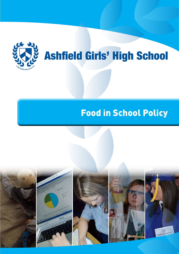

# Ashfield Girls' High School

# Food in School Policy

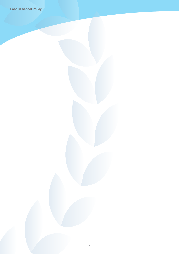**2**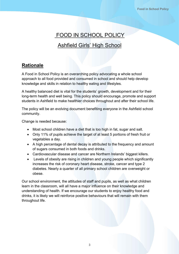# FOOD IN SCHOOL POLICY

# Ashfield Girls' High School

# **Rationale**

A Food in School Policy is an overarching policy advocating a whole school approach to all food provided and consumed in school and should help develop knowledge and skills in relation to healthy eating and lifestyles.

A healthy balanced diet is vital for the students' growth, development and for their long-term health and well being. This policy should encourage, promote and support students in Ashfield to make healthier choices throughout and after their school life.

The policy will be an evolving document benefiting everyone in the Ashfield school community.

Change is needed because:

- Most school children have a diet that is too high in fat, sugar and salt.
- Only 11% of pupils achieve the target of at least 5 portions of fresh fruit or vegetables a day.
- A high percentage of dental decay is attributed to the frequency and amount of sugars consumed in both foods and drinks.
- Cardiovascular disease and cancer are Northern Irelands' biggest killers.
- Levels of obesity are rising in children and young people which significantly increases the risk of coronary heart disease, stroke, cancer and type 2 diabetes. Nearly a quarter of all primary school children are overweight or obese.

Our school environment, the attitudes of staff and pupils, as well as what children learn in the classroom, will all have a major influence on their knowledge and understanding of health. If we encourage our students to enjoy healthy food and drinks, it is likely we will reinforce positive behaviours that will remain with them throughout life.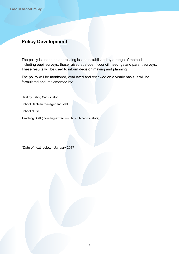# **Policy Development**

The policy is based on addressing issues established by a range of methods including pupil surveys, those raised at student council meetings and parent surveys. These results will be used to inform decision making and planning.

The policy will be monitored, evaluated and reviewed on a yearly basis. It will be formulated and implemented by:

Healthy Eating Coordinator

School Canteen manager and staff

School Nurse

Teaching Staff (including extracurricular club coordinators)

\*Date of next review - January 2017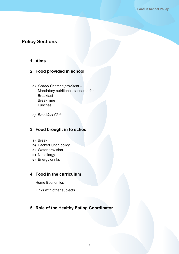# **Policy Sections**

#### **1. Aims**

#### **2. Food provided in school**

- a) *School Canteen provision* Mandatory nutritional standards for Breakfast Break time Lunches
- *b) Breakfast Club*

#### **3. Food brought in to school**

- **a)** Break
- **b)** Packed lunch policy
- **c)** Water provision
- **d)** Nut allergy
- **e)** Energy drinks

#### **4. Food in the curriculum**

Home Economics

Links with other subjects

#### **5. Role of the Healthy Eating Coordinator**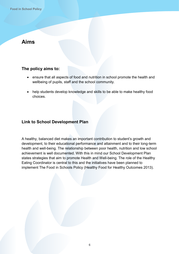# **Aims**

#### **The policy aims to:**

- ensure that all aspects of food and nutrition in school promote the health and wellbeing of pupils, staff and the school community.
- help students develop knowledge and skills to be able to make healthy food choices.

#### **Link to School Development Plan**

A healthy, balanced diet makes an important contribution to student's growth and development, to their educational performance and attainment and to their long-term health and well-being. The relationship between poor health, nutrition and low school achievement is well documented. With this in mind our School Development Plan states strategies that aim to promote Health and Well-being. The role of the Healthy Eating Coordinator is central to this and the initiatives have been planned to implement The Food in Schools Policy (Healthy Food for Healthy Outcomes 2013).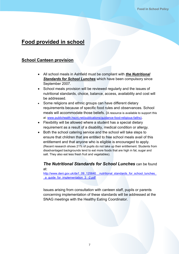# **Food provided in school**

#### **School Canteen provision**

- All school meals in Ashfield must be compliant with *the Nutritional*  **Standards for School Lunches** which have been compulsory since September 2007.
- School meals provision will be reviewed regularly and the issues of nutritional standards, choice, balance, access, availability and cost will be addressed.
- Some religions and ethnic groups can have different dietary requirements because of specific food rules and observances. School meals will accommodate those beliefs. (A resource is available to support this at :www.publichealth.hscni.net/publications/guidance-food-religious-faiths).
- Flexibility will be allowed where a student has a special dietary requirement as a result of a disability, medical condition or allergy.
- Both the school catering service and the school will take steps to ensure that children that are entitled to free school meals avail of this entitlement and that anyone who is eligible is encouraged to apply. (Recent research shows 21% of pupils do not take up their entitlement. Students from disadvantaged backgrounds tend to eat more foods that are high in fat, sugar and salt. They also eat less fresh fruit and vegetables).

#### *The Nutritional Standards for School Lunches* can be found at:

http://www.deni.gov.uk/de1\_09\_125640\_\_nutritional\_standards\_for\_school\_lunches \_a\_guide\_for\_implementation\_3\_-2.pdf

Issues arising from consultation with canteen staff, pupils or parents concerning implementation of these standards will be addressed at the SNAG meetings with the Healthy Eating Coordinator.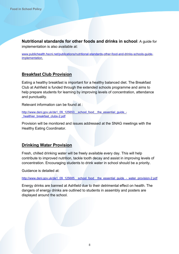**Nutritional standards for other foods and drinks in school**: A guide for implementation is also available at:

www.publichealth.hscni.net/publications/nutritional-standards-other-food-and-drinks-schools-guideimplementation.

#### **Breakfast Club Provision**

Eating a healthy breakfast is important for a healthy balanced diet. The Breakfast Club at Ashfield is funded through the extended schools programme and aims to help prepare students for learning by improving levels of concentration, attendance and punctuality.

Relevant information can be found at :

http://www.deni.gov.uk/de1\_09\_125653\_\_school\_food\_\_the\_essential\_guide\_healthier breakfast clubs-2.pdf

Provision will be monitored and issues addressed at the SNAG meetings with the Healthy Eating Coordinator.

#### **Drinking Water Provision**

Fresh, chilled drinking water will be freely available every day. This will help contribute to improved nutrition, tackle tooth decay and assist in improving levels of concentration. Encouraging students to drink water in school should be a priority.

Guidance is detailed at:

http://www.deni.gov.uk/de1\_09\_125685\_\_school\_food\_\_the\_essential\_guide\_-\_water\_provision-2.pdf

Energy drinks are banned at Ashfield due to their detrimental effect on health. The dangers of energy drinks are outlined to students in assembly and posters are displayed around the school.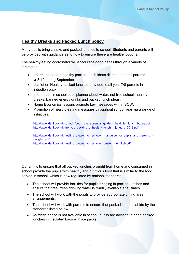#### **Healthy Breaks and Packed Lunch policy**

Many pupils bring snacks and packed lunches to school. Students and parents will be provided with guidance as to how to ensure these are healthy options.

The healthy eating coordinator will encourage good habits through a variety of strategies.

- Information about healthy packed lunch ideas distributed to all parents yr 8-10 during September.
- Leaflet on Healthy packed lunches provided to all year 7/8 parents in induction pack.
- Information in school pupil planner about water, nut free school, healthy breaks, banned energy drinks and packed lunch ideas.
- Home Economics lessons promote key messages within SOW.
- Promotion of healthy eating messages throughout school year via a range of initiatives.

http://www.deni.gov.uk/school\_food\_\_the\_essential\_guide\_-\_healthier\_lunch\_boxes.pdf http://www.deni.gov.uk/are\_you\_packing\_a\_healthy\_lunch\_-\_january\_2013.pdf

http://www.deni.gov.uk/healthy\_breaks\_for\_schools\_-\_a\_guide\_for\_pupils\_and\_parents\_-\_english.pdf

http://www.deni.gov.uk/healthy\_breaks\_for\_schools\_poster\_-\_english.pdf

Our aim is to ensure that all packed lunches brought from home and consumed in school provide the pupils with healthy and nutritious food that is similar to the food served in school, which is now regulated by national standards.

- The school will provide facilities for pupils bringing in packed lunches and ensure that free, fresh drinking water is readily available at all times.
- The school will work with the pupils to provide appropriate dining area arrangements.
- The school will work with parents to ensure that packed lunches abide by the standards listed below.
- As fridge space is not available in school, pupils are advised to bring packed lunches in insulated bags with ice packs.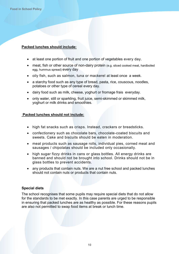#### **Packed lunches should include:**

- at least one portion of fruit and one portion of vegetables every day.
- meat, fish or other source of non-dairy protein (e.g. sliced cooked meat, hardboiled egg, hummus spread) every day
- oily fish, such as salmon, tuna or mackerel at least once a week.
- a starchy food such as any type of bread, pasta, rice, couscous, noodles, potatoes or other type of cereal every day.
- dairy food such as milk, cheese, yoghurt or fromage frais everyday.
- only water, still or sparkling, fruit juice, semi-skimmed or skimmed milk, yoghurt or milk drinks and smoothies.

#### **Packed lunches should not include:**

- high fat snacks such as crisps. Instead, crackers or breadsticks.
- confectionery such as chocolate bars, chocolate-coated biscuits and sweets. Cake and biscuits should be eaten in moderation.
- meat products such as sausage rolls, individual pies, corned meat and sausages / chipolatas should be included only occasionally.
- high sugar fizzy drinks in cans or glass bottles. All energy drinks are banned and should not be brought into school. Drinks should not be in glass bottles to prevent accidents.
- any products that contain nuts. We are a nut free school and packed lunches should not contain nuts or products that contain nuts.

#### **Special diets**

The school recognises that some pupils may require special diets that do not allow for the standards to be met exactly. In this case parents are urged to be responsible in ensuring that packed lunches are as healthy as possible. For these reasons pupils are also not permitted to swap food items at break or lunch time.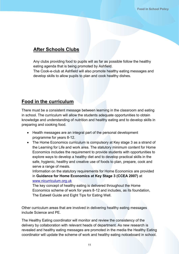# **After Schools Clubs**

Any clubs providing food to pupils will as far as possible follow the healthy eating agenda that is being promoted by Ashfield.

The Cook-e-club at Ashfield will also promote healthy eating messages and develop skills to allow pupils to plan and cook healthy dishes.

### **Food in the curriculum**

There must be a consistent message between learning in the classroom and eating in school. The curriculum will allow the students adequate opportunities to obtain knowledge and understanding of nutrition and healthy eating and to develop skills in preparing and cooking food.

- Health messages are an integral part of the personal development programme for years 8-12.
- The Home Economics curriculum is compulsory at Key stage 3 as a strand of the Learning for Life and work area. The statutory minimum content for Home Economics includes the requirement to provide students with opportunities to explore ways to develop a healthy diet and to develop practical skills in the safe, hygienic, healthy and creative use of foods to plan, prepare, cook and serve a range of meals.

Information on the statutory requirements for Home Economics are provided in **Guidance for Home Economics at Key Stage 3 (CCEA 2007)** at www.nicurriculum.org.uk

The key concept of healthy eating is delivered throughout the Home Economics scheme of work for years 8-12 and includes, as its foundation, The Eatwell Guide and Eight Tips for Eating Well.

Other curriculum areas that are involved in delivering healthy eating messages include Science and PE.

The Healthy Eating coordinator will monitor and review the consistency of the delivery by collaboration with relevant heads of department. As new research is revealed and healthy eating messages are promoted in the media the Healthy Eating coordinator will update the scheme of work and healthy eating noticeboard in school.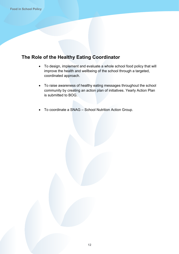# **The Role of the Healthy Eating Coordinator**

- To design, implement and evaluate a whole school food policy that will improve the health and wellbeing of the school through a targeted, coordinated approach.
- To raise awareness of healthy eating messages throughout the school community by creating an action plan of initiatives. Yearly Action Plan is submitted to BOG.
- To coordinate a SNAG School Nutrition Action Group.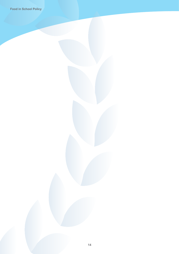**14**